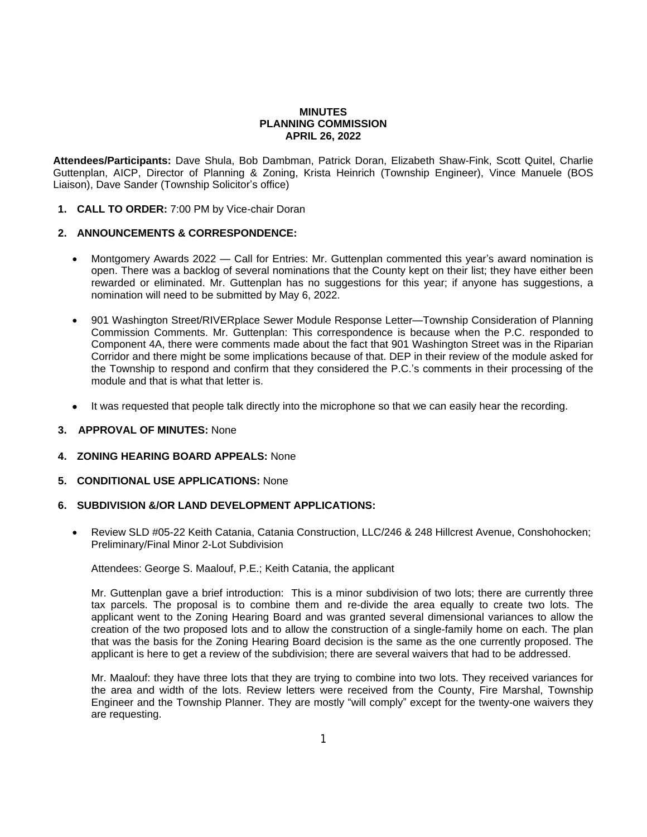## **MINUTES PLANNING COMMISSION APRIL 26, 2022**

**Attendees/Participants:** Dave Shula, Bob Dambman, Patrick Doran, Elizabeth Shaw-Fink, Scott Quitel, Charlie Guttenplan, AICP, Director of Planning & Zoning, Krista Heinrich (Township Engineer), Vince Manuele (BOS Liaison), Dave Sander (Township Solicitor's office)

**1. CALL TO ORDER:** 7:00 PM by Vice-chair Doran

# **2. ANNOUNCEMENTS & CORRESPONDENCE:**

- Montgomery Awards 2022 Call for Entries: Mr. Guttenplan commented this year's award nomination is open. There was a backlog of several nominations that the County kept on their list; they have either been rewarded or eliminated. Mr. Guttenplan has no suggestions for this year; if anyone has suggestions, a nomination will need to be submitted by May 6, 2022.
- 901 Washington Street/RIVERplace Sewer Module Response Letter—Township Consideration of Planning Commission Comments. Mr. Guttenplan: This correspondence is because when the P.C. responded to Component 4A, there were comments made about the fact that 901 Washington Street was in the Riparian Corridor and there might be some implications because of that. DEP in their review of the module asked for the Township to respond and confirm that they considered the P.C.'s comments in their processing of the module and that is what that letter is.
- It was requested that people talk directly into the microphone so that we can easily hear the recording.
- **3. APPROVAL OF MINUTES:** None
- **4. ZONING HEARING BOARD APPEALS:** None
- **5. CONDITIONAL USE APPLICATIONS:** None
- **6. SUBDIVISION &/OR LAND DEVELOPMENT APPLICATIONS:**
	- Review SLD #05-22 Keith Catania, Catania Construction, LLC/246 & 248 Hillcrest Avenue, Conshohocken; Preliminary/Final Minor 2-Lot Subdivision

Attendees: George S. Maalouf, P.E.; Keith Catania, the applicant

Mr. Guttenplan gave a brief introduction: This is a minor subdivision of two lots; there are currently three tax parcels. The proposal is to combine them and re-divide the area equally to create two lots. The applicant went to the Zoning Hearing Board and was granted several dimensional variances to allow the creation of the two proposed lots and to allow the construction of a single-family home on each. The plan that was the basis for the Zoning Hearing Board decision is the same as the one currently proposed. The applicant is here to get a review of the subdivision; there are several waivers that had to be addressed.

Mr. Maalouf: they have three lots that they are trying to combine into two lots. They received variances for the area and width of the lots. Review letters were received from the County, Fire Marshal, Township Engineer and the Township Planner. They are mostly "will comply" except for the twenty-one waivers they are requesting.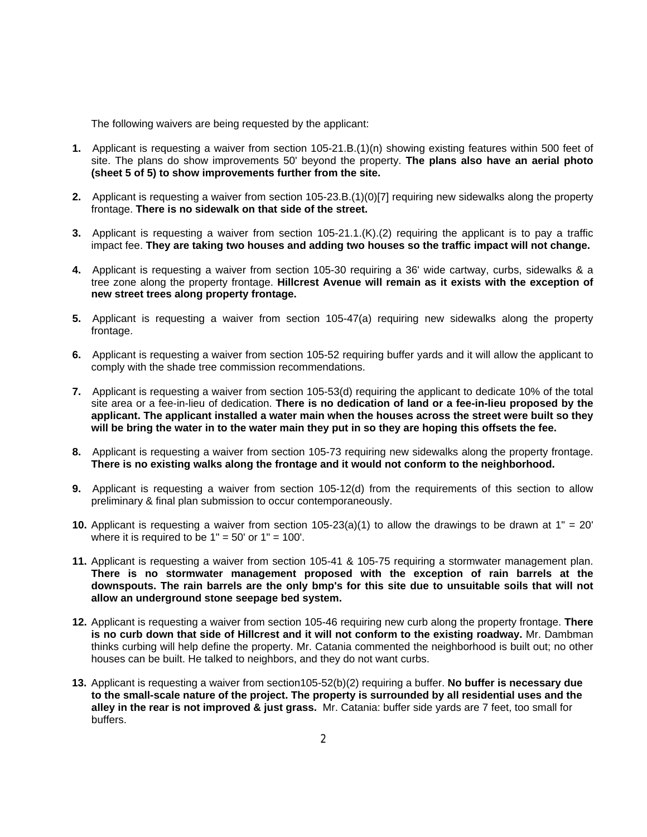The following waivers are being requested by the applicant:

- **1.** Applicant is requesting a waiver from section 105-21.B.(1)(n) showing existing features within 500 feet of site. The plans do show improvements 50' beyond the property. **The plans also have an aerial photo (sheet 5 of 5) to show improvements further from the site.**
- **2.** Applicant is requesting a waiver from section 105-23.B.(1)(0)[7] requiring new sidewalks along the property frontage. **There is no sidewalk on that side of the street.**
- **3.** Applicant is requesting a waiver from section 105-21.1.(K).(2) requiring the applicant is to pay a traffic impact fee. **They are taking two houses and adding two houses so the traffic impact will not change.**
- **4.** Applicant is requesting a waiver from section 105-30 requiring a 36' wide cartway, curbs, sidewalks & a tree zone along the property frontage. **Hillcrest Avenue will remain as it exists with the exception of new street trees along property frontage.**
- **5.** Applicant is requesting a waiver from section 105-47(a) requiring new sidewalks along the property frontage.
- **6.** Applicant is requesting a waiver from section 105-52 requiring buffer yards and it will allow the applicant to comply with the shade tree commission recommendations.
- **7.** Applicant is requesting a waiver from section 105-53(d) requiring the applicant to dedicate 10% of the total site area or a fee-in-lieu of dedication. **There is no dedication of land or a fee-in-lieu proposed by the applicant. The applicant installed a water main when the houses across the street were built so they will be bring the water in to the water main they put in so they are hoping this offsets the fee.**
- **8.** Applicant is requesting a waiver from section 105-73 requiring new sidewalks along the property frontage. **There is no existing walks along the frontage and it would not conform to the neighborhood.**
- **9.** Applicant is requesting a waiver from section 105-12(d) from the requirements of this section to allow preliminary & final plan submission to occur contemporaneously.
- **10.** Applicant is requesting a waiver from section 105-23(a)(1) to allow the drawings to be drawn at 1" = 20' where it is required to be  $1" = 50'$  or  $1" = 100'$ .
- **11.** Applicant is requesting a waiver from section 105-41 & 105-75 requiring a stormwater management plan. **There is no stormwater management proposed with the exception of rain barrels at the** downspouts. The rain barrels are the only bmp's for this site due to unsuitable soils that will not **allow an underground stone seepage bed system.**
- **12.** Applicant is requesting a waiver from section 105-46 requiring new curb along the property frontage. **There is no curb down that side of Hillcrest and it will not conform to the existing roadway.** Mr. Dambman thinks curbing will help define the property. Mr. Catania commented the neighborhood is built out; no other houses can be built. He talked to neighbors, and they do not want curbs.
- **13.** Applicant is requesting a waiver from section105-52(b)(2) requiring a buffer. **No buffer is necessary due to the small-scale nature of the project. The property is surrounded by all residential uses and the alley in the rear is not improved & just grass.** Mr. Catania: buffer side yards are 7 feet, too small for buffers.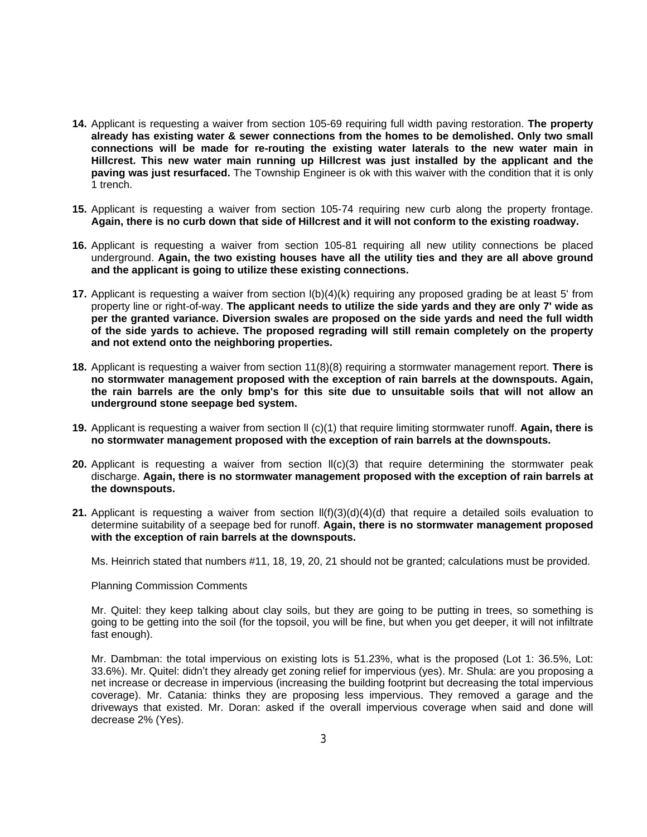- **14.** Applicant is requesting a waiver from section 105-69 requiring full width paving restoration. **The property already has existing water & sewer connections from the homes to be demolished. Only two small connections will be made for re-routing the existing water laterals to the new water main in Hillcrest. This new water main running up Hillcrest was just installed by the applicant and the paving was just resurfaced.** The Township Engineer is ok with this waiver with the condition that it is only 1 trench.
- **15.** Applicant is requesting a waiver from section 105-74 requiring new curb along the property frontage. **Again, there is no curb down that side of Hillcrest and it will not conform to the existing roadway.**
- **16.** Applicant is requesting a waiver from section 105-81 requiring all new utility connections be placed underground. **Again, the two existing houses have all the utility ties and they are all above ground and the applicant is going to utilize these existing connections.**
- **17.** Applicant is requesting a waiver from section  $I(b)(4)(k)$  requiring any proposed grading be at least 5' from property line or right-of-way. **The applicant needs to utilize the side yards and they are only 7' wide as per the granted variance. Diversion swales are proposed on the side yards and need the full width of the side yards to achieve. The proposed regrading will still remain completely on the property and not extend onto the neighboring properties.**
- **18.** Applicant is requesting a waiver from section 11(8)(8) requiring a stormwater management report. **There is no stormwater management proposed with the exception of rain barrels at the downspouts. Again,** the rain barrels are the only bmp's for this site due to unsuitable soils that will not allow an **underground stone seepage bed system.**
- **19.** Applicant is requesting a waiver from section ll (c)(1) that require limiting stormwater runoff. **Again, there is no stormwater management proposed with the exception of rain barrels at the downspouts.**
- **20.** Applicant is requesting a waiver from section  $II(c)(3)$  that require determining the stormwater peak discharge. **Again, there is no stormwater management proposed with the exception of rain barrels at the downspouts.**
- **21.** Applicant is requesting a waiver from section ll(f)(3)(d)(4)(d) that require a detailed soils evaluation to determine suitability of a seepage bed for runoff. **Again, there is no stormwater management proposed with the exception of rain barrels at the downspouts.**

Ms. Heinrich stated that numbers #11, 18, 19, 20, 21 should not be granted; calculations must be provided.

#### Planning Commission Comments

Mr. Quitel: they keep talking about clay soils, but they are going to be putting in trees, so something is going to be getting into the soil (for the topsoil, you will be fine, but when you get deeper, it will not infiltrate fast enough).

Mr. Dambman: the total impervious on existing lots is 51.23%, what is the proposed (Lot 1: 36.5%, Lot: 33.6%). Mr. Quitel: didn't they already get zoning relief for impervious (yes). Mr. Shula: are you proposing a net increase or decrease in impervious (increasing the building footprint but decreasing the total impervious coverage). Mr. Catania: thinks they are proposing less impervious. They removed a garage and the driveways that existed. Mr. Doran: asked if the overall impervious coverage when said and done will decrease 2% (Yes).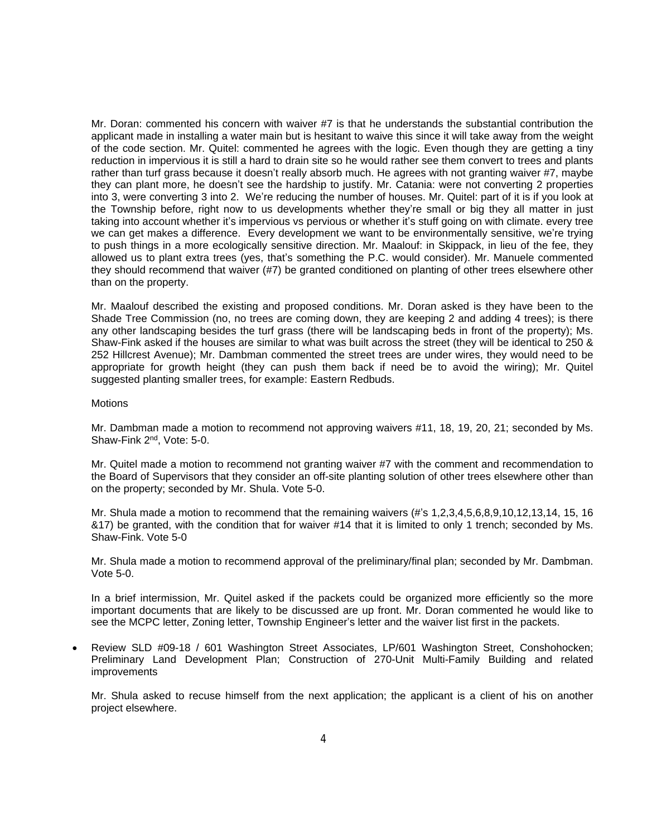Mr. Doran: commented his concern with waiver #7 is that he understands the substantial contribution the applicant made in installing a water main but is hesitant to waive this since it will take away from the weight of the code section. Mr. Quitel: commented he agrees with the logic. Even though they are getting a tiny reduction in impervious it is still a hard to drain site so he would rather see them convert to trees and plants rather than turf grass because it doesn't really absorb much. He agrees with not granting waiver #7, maybe they can plant more, he doesn't see the hardship to justify. Mr. Catania: were not converting 2 properties into 3, were converting 3 into 2. We're reducing the number of houses. Mr. Quitel: part of it is if you look at the Township before, right now to us developments whether they're small or big they all matter in just taking into account whether it's impervious vs pervious or whether it's stuff going on with climate. every tree we can get makes a difference. Every development we want to be environmentally sensitive, we're trying to push things in a more ecologically sensitive direction. Mr. Maalouf: in Skippack, in lieu of the fee, they allowed us to plant extra trees (yes, that's something the P.C. would consider). Mr. Manuele commented they should recommend that waiver (#7) be granted conditioned on planting of other trees elsewhere other than on the property.

Mr. Maalouf described the existing and proposed conditions. Mr. Doran asked is they have been to the Shade Tree Commission (no, no trees are coming down, they are keeping 2 and adding 4 trees); is there any other landscaping besides the turf grass (there will be landscaping beds in front of the property); Ms. Shaw-Fink asked if the houses are similar to what was built across the street (they will be identical to 250 & 252 Hillcrest Avenue); Mr. Dambman commented the street trees are under wires, they would need to be appropriate for growth height (they can push them back if need be to avoid the wiring); Mr. Quitel suggested planting smaller trees, for example: Eastern Redbuds.

#### Motions

Mr. Dambman made a motion to recommend not approving waivers #11, 18, 19, 20, 21; seconded by Ms. Shaw-Fink 2<sup>nd</sup>, Vote: 5-0.

Mr. Quitel made a motion to recommend not granting waiver #7 with the comment and recommendation to the Board of Supervisors that they consider an off-site planting solution of other trees elsewhere other than on the property; seconded by Mr. Shula. Vote 5-0.

Mr. Shula made a motion to recommend that the remaining waivers (#'s 1,2,3,4,5,6,8,9,10,12,13,14, 15, 16 &17) be granted, with the condition that for waiver #14 that it is limited to only 1 trench; seconded by Ms. Shaw-Fink. Vote 5-0

Mr. Shula made a motion to recommend approval of the preliminary/final plan; seconded by Mr. Dambman. Vote 5-0.

In a brief intermission, Mr. Quitel asked if the packets could be organized more efficiently so the more important documents that are likely to be discussed are up front. Mr. Doran commented he would like to see the MCPC letter, Zoning letter, Township Engineer's letter and the waiver list first in the packets.

 Review SLD #09-18 / 601 Washington Street Associates, LP/601 Washington Street, Conshohocken; Preliminary Land Development Plan; Construction of 270-Unit Multi-Family Building and related improvements

Mr. Shula asked to recuse himself from the next application; the applicant is a client of his on another project elsewhere.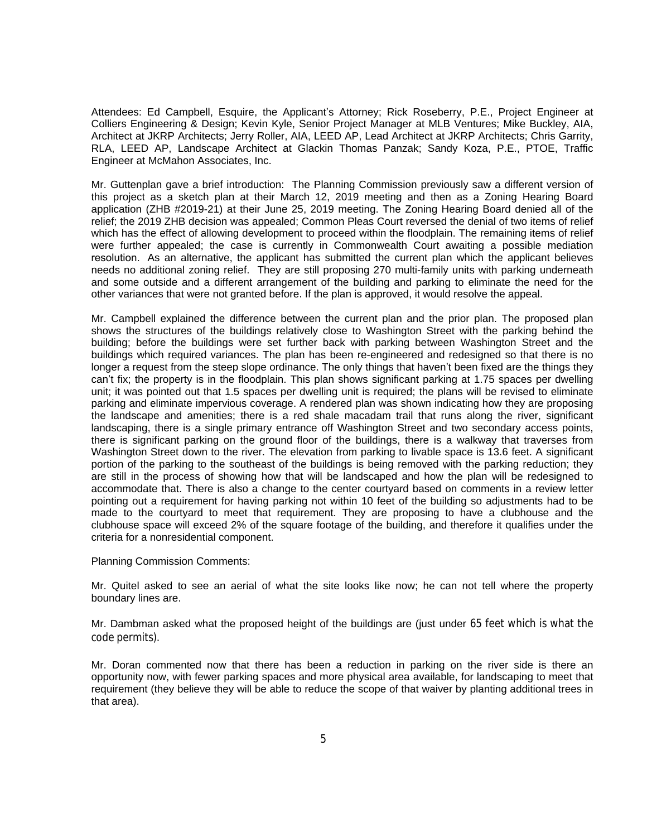Attendees: Ed Campbell, Esquire, the Applicant's Attorney; Rick Roseberry, P.E., Project Engineer at Colliers Engineering & Design; Kevin Kyle, Senior Project Manager at MLB Ventures; Mike Buckley, AIA, Architect at JKRP Architects; Jerry Roller, AIA, LEED AP, Lead Architect at JKRP Architects; Chris Garrity, RLA, LEED AP, Landscape Architect at Glackin Thomas Panzak; Sandy Koza, P.E., PTOE, Traffic Engineer at McMahon Associates, Inc.

Mr. Guttenplan gave a brief introduction: The Planning Commission previously saw a different version of this project as a sketch plan at their March 12, 2019 meeting and then as a Zoning Hearing Board application (ZHB #2019-21) at their June 25, 2019 meeting. The Zoning Hearing Board denied all of the relief; the 2019 ZHB decision was appealed; Common Pleas Court reversed the denial of two items of relief which has the effect of allowing development to proceed within the floodplain. The remaining items of relief were further appealed; the case is currently in Commonwealth Court awaiting a possible mediation resolution. As an alternative, the applicant has submitted the current plan which the applicant believes needs no additional zoning relief. They are still proposing 270 multi-family units with parking underneath and some outside and a different arrangement of the building and parking to eliminate the need for the other variances that were not granted before. If the plan is approved, it would resolve the appeal.

Mr. Campbell explained the difference between the current plan and the prior plan. The proposed plan shows the structures of the buildings relatively close to Washington Street with the parking behind the building; before the buildings were set further back with parking between Washington Street and the buildings which required variances. The plan has been re-engineered and redesigned so that there is no longer a request from the steep slope ordinance. The only things that haven't been fixed are the things they can't fix; the property is in the floodplain. This plan shows significant parking at 1.75 spaces per dwelling unit; it was pointed out that 1.5 spaces per dwelling unit is required; the plans will be revised to eliminate parking and eliminate impervious coverage. A rendered plan was shown indicating how they are proposing the landscape and amenities; there is a red shale macadam trail that runs along the river, significant landscaping, there is a single primary entrance off Washington Street and two secondary access points, there is significant parking on the ground floor of the buildings, there is a walkway that traverses from Washington Street down to the river. The elevation from parking to livable space is 13.6 feet. A significant portion of the parking to the southeast of the buildings is being removed with the parking reduction; they are still in the process of showing how that will be landscaped and how the plan will be redesigned to accommodate that. There is also a change to the center courtyard based on comments in a review letter pointing out a requirement for having parking not within 10 feet of the building so adjustments had to be made to the courtyard to meet that requirement. They are proposing to have a clubhouse and the clubhouse space will exceed 2% of the square footage of the building, and therefore it qualifies under the criteria for a nonresidential component.

Planning Commission Comments:

Mr. Quitel asked to see an aerial of what the site looks like now; he can not tell where the property boundary lines are.

Mr. Dambman asked what the proposed height of the buildings are (just under 65 feet which is what the code permits).

Mr. Doran commented now that there has been a reduction in parking on the river side is there an opportunity now, with fewer parking spaces and more physical area available, for landscaping to meet that requirement (they believe they will be able to reduce the scope of that waiver by planting additional trees in that area).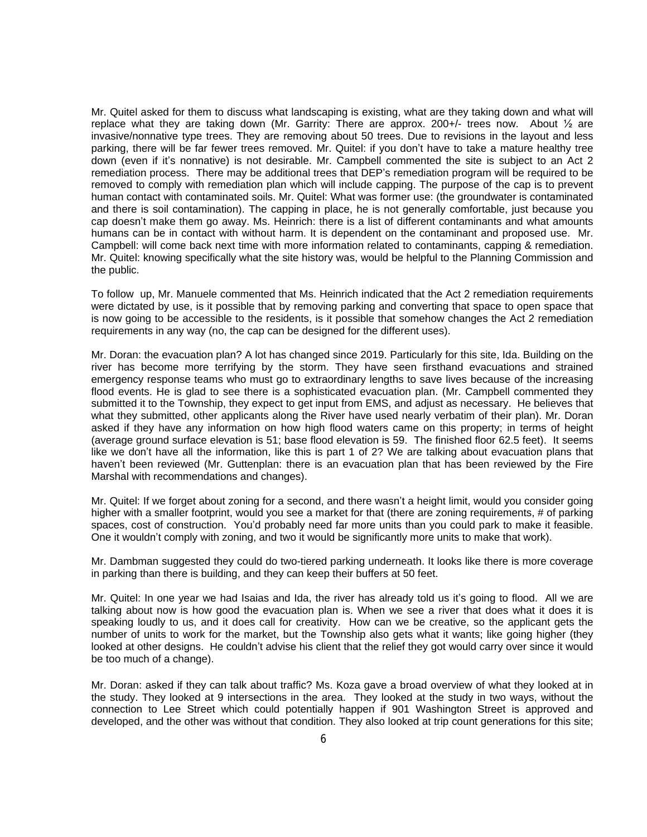Mr. Quitel asked for them to discuss what landscaping is existing, what are they taking down and what will replace what they are taking down (Mr. Garrity: There are approx. 200+/- trees now. About  $\frac{1}{2}$  are invasive/nonnative type trees. They are removing about 50 trees. Due to revisions in the layout and less parking, there will be far fewer trees removed. Mr. Quitel: if you don't have to take a mature healthy tree down (even if it's nonnative) is not desirable. Mr. Campbell commented the site is subject to an Act 2 remediation process. There may be additional trees that DEP's remediation program will be required to be removed to comply with remediation plan which will include capping. The purpose of the cap is to prevent human contact with contaminated soils. Mr. Quitel: What was former use: (the groundwater is contaminated and there is soil contamination). The capping in place, he is not generally comfortable, just because you cap doesn't make them go away. Ms. Heinrich: there is a list of different contaminants and what amounts humans can be in contact with without harm. It is dependent on the contaminant and proposed use. Mr. Campbell: will come back next time with more information related to contaminants, capping & remediation. Mr. Quitel: knowing specifically what the site history was, would be helpful to the Planning Commission and the public.

To follow up, Mr. Manuele commented that Ms. Heinrich indicated that the Act 2 remediation requirements were dictated by use, is it possible that by removing parking and converting that space to open space that is now going to be accessible to the residents, is it possible that somehow changes the Act 2 remediation requirements in any way (no, the cap can be designed for the different uses).

Mr. Doran: the evacuation plan? A lot has changed since 2019. Particularly for this site, Ida. Building on the river has become more terrifying by the storm. They have seen firsthand evacuations and strained emergency response teams who must go to extraordinary lengths to save lives because of the increasing flood events. He is glad to see there is a sophisticated evacuation plan. (Mr. Campbell commented they submitted it to the Township, they expect to get input from EMS, and adjust as necessary. He believes that what they submitted, other applicants along the River have used nearly verbatim of their plan). Mr. Doran asked if they have any information on how high flood waters came on this property; in terms of height (average ground surface elevation is 51; base flood elevation is 59. The finished floor 62.5 feet). It seems like we don't have all the information, like this is part 1 of 2? We are talking about evacuation plans that haven't been reviewed (Mr. Guttenplan: there is an evacuation plan that has been reviewed by the Fire Marshal with recommendations and changes).

Mr. Quitel: If we forget about zoning for a second, and there wasn't a height limit, would you consider going higher with a smaller footprint, would you see a market for that (there are zoning requirements, # of parking spaces, cost of construction. You'd probably need far more units than you could park to make it feasible. One it wouldn't comply with zoning, and two it would be significantly more units to make that work).

Mr. Dambman suggested they could do two-tiered parking underneath. It looks like there is more coverage in parking than there is building, and they can keep their buffers at 50 feet.

Mr. Quitel: In one year we had Isaias and Ida, the river has already told us it's going to flood. All we are talking about now is how good the evacuation plan is. When we see a river that does what it does it is speaking loudly to us, and it does call for creativity. How can we be creative, so the applicant gets the number of units to work for the market, but the Township also gets what it wants; like going higher (they looked at other designs. He couldn't advise his client that the relief they got would carry over since it would be too much of a change).

Mr. Doran: asked if they can talk about traffic? Ms. Koza gave a broad overview of what they looked at in the study. They looked at 9 intersections in the area. They looked at the study in two ways, without the connection to Lee Street which could potentially happen if 901 Washington Street is approved and developed, and the other was without that condition. They also looked at trip count generations for this site;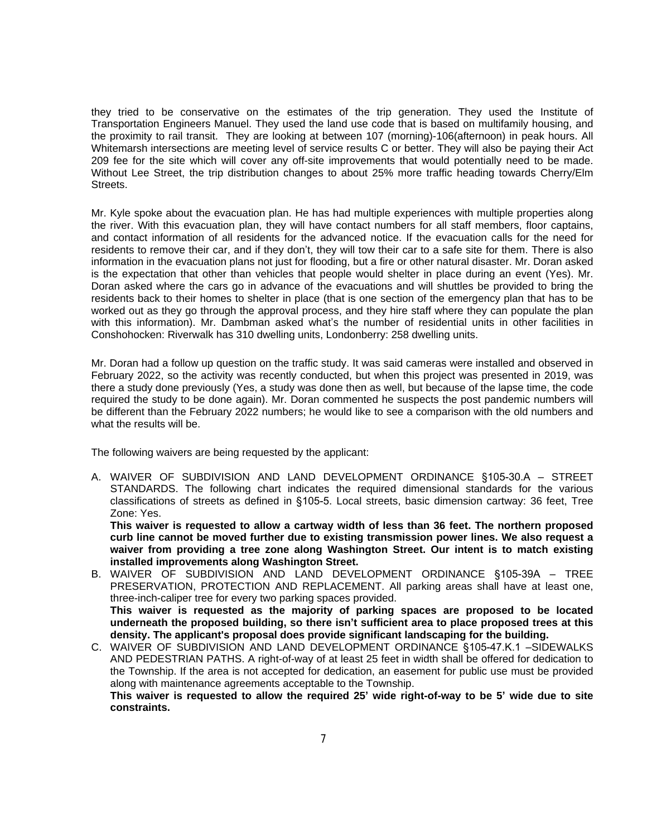they tried to be conservative on the estimates of the trip generation. They used the Institute of Transportation Engineers Manuel. They used the land use code that is based on multifamily housing, and the proximity to rail transit. They are looking at between 107 (morning)-106(afternoon) in peak hours. All Whitemarsh intersections are meeting level of service results C or better. They will also be paying their Act 209 fee for the site which will cover any off-site improvements that would potentially need to be made. Without Lee Street, the trip distribution changes to about 25% more traffic heading towards Cherry/Elm Streets.

Mr. Kyle spoke about the evacuation plan. He has had multiple experiences with multiple properties along the river. With this evacuation plan, they will have contact numbers for all staff members, floor captains, and contact information of all residents for the advanced notice. If the evacuation calls for the need for residents to remove their car, and if they don't, they will tow their car to a safe site for them. There is also information in the evacuation plans not just for flooding, but a fire or other natural disaster. Mr. Doran asked is the expectation that other than vehicles that people would shelter in place during an event (Yes). Mr. Doran asked where the cars go in advance of the evacuations and will shuttles be provided to bring the residents back to their homes to shelter in place (that is one section of the emergency plan that has to be worked out as they go through the approval process, and they hire staff where they can populate the plan with this information). Mr. Dambman asked what's the number of residential units in other facilities in Conshohocken: Riverwalk has 310 dwelling units, Londonberry: 258 dwelling units.

Mr. Doran had a follow up question on the traffic study. It was said cameras were installed and observed in February 2022, so the activity was recently conducted, but when this project was presented in 2019, was there a study done previously (Yes, a study was done then as well, but because of the lapse time, the code required the study to be done again). Mr. Doran commented he suspects the post pandemic numbers will be different than the February 2022 numbers; he would like to see a comparison with the old numbers and what the results will be.

The following waivers are being requested by the applicant:

A. WAIVER OF SUBDIVISION AND LAND DEVELOPMENT ORDINANCE §105-30.A – STREET STANDARDS. The following chart indicates the required dimensional standards for the various classifications of streets as defined in §105-5. Local streets, basic dimension cartway: 36 feet, Tree Zone: Yes.

**This waiver is requested to allow a cartway width of less than 36 feet. The northern proposed curb line cannot be moved further due to existing transmission power lines. We also request a waiver from providing a tree zone along Washington Street. Our intent is to match existing installed improvements along Washington Street.**

- B. WAIVER OF SUBDIVISION AND LAND DEVELOPMENT ORDINANCE §105-39A TREE PRESERVATION, PROTECTION AND REPLACEMENT. All parking areas shall have at least one, three-inch-caliper tree for every two parking spaces provided. **This waiver is requested as the majority of parking spaces are proposed to be located underneath the proposed building, so there isn't sufficient area to place proposed trees at this density. The applicant's proposal does provide significant landscaping for the building.**
- C. WAIVER OF SUBDIVISION AND LAND DEVELOPMENT ORDINANCE §105-47.K.1 –SIDEWALKS AND PEDESTRIAN PATHS. A right-of-way of at least 25 feet in width shall be offered for dedication to the Township. If the area is not accepted for dedication, an easement for public use must be provided along with maintenance agreements acceptable to the Township. This waiver is requested to allow the required 25' wide right-of-way to be 5' wide due to site **constraints.**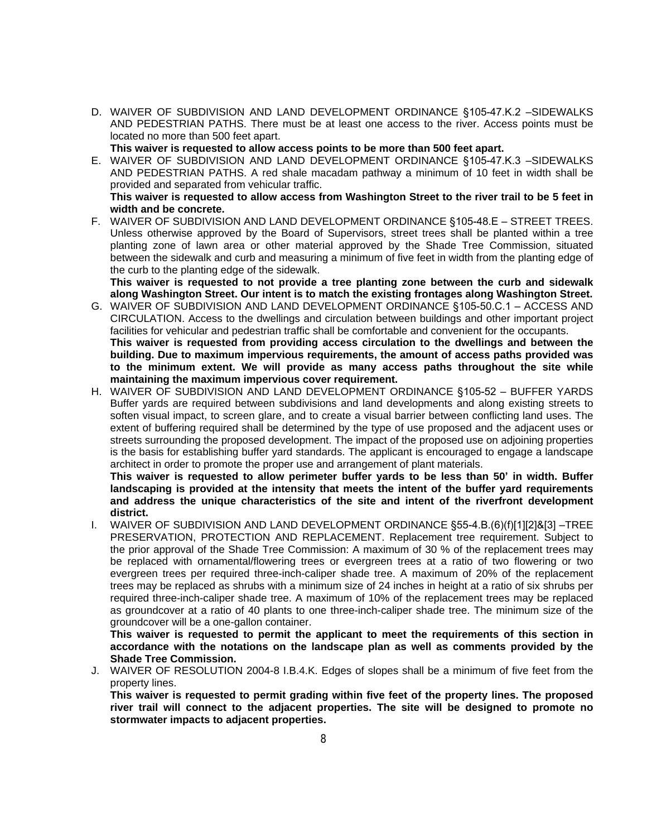D. WAIVER OF SUBDIVISION AND LAND DEVELOPMENT ORDINANCE §105-47.K.2 –SIDEWALKS AND PEDESTRIAN PATHS. There must be at least one access to the river. Access points must be located no more than 500 feet apart.

**This waiver is requested to allow access points to be more than 500 feet apart.**

E. WAIVER OF SUBDIVISION AND LAND DEVELOPMENT ORDINANCE §105-47.K.3 –SIDEWALKS AND PEDESTRIAN PATHS. A red shale macadam pathway a minimum of 10 feet in width shall be provided and separated from vehicular traffic.

This waiver is requested to allow access from Washington Street to the river trail to be 5 feet in **width and be concrete.**

F. WAIVER OF SUBDIVISION AND LAND DEVELOPMENT ORDINANCE §105-48.E – STREET TREES. Unless otherwise approved by the Board of Supervisors, street trees shall be planted within a tree planting zone of lawn area or other material approved by the Shade Tree Commission, situated between the sidewalk and curb and measuring a minimum of five feet in width from the planting edge of the curb to the planting edge of the sidewalk.

**This waiver is requested to not provide a tree planting zone between the curb and sidewalk along Washington Street. Our intent is to match the existing frontages along Washington Street.**

- G. WAIVER OF SUBDIVISION AND LAND DEVELOPMENT ORDINANCE §105-50.C.1 ACCESS AND CIRCULATION. Access to the dwellings and circulation between buildings and other important project facilities for vehicular and pedestrian traffic shall be comfortable and convenient for the occupants. **This waiver is requested from providing access circulation to the dwellings and between the building. Due to maximum impervious requirements, the amount of access paths provided was to the minimum extent. We will provide as many access paths throughout the site while maintaining the maximum impervious cover requirement.**
- H. WAIVER OF SUBDIVISION AND LAND DEVELOPMENT ORDINANCE §105-52 BUFFER YARDS Buffer yards are required between subdivisions and land developments and along existing streets to soften visual impact, to screen glare, and to create a visual barrier between conflicting land uses. The extent of buffering required shall be determined by the type of use proposed and the adjacent uses or streets surrounding the proposed development. The impact of the proposed use on adjoining properties is the basis for establishing buffer yard standards. The applicant is encouraged to engage a landscape architect in order to promote the proper use and arrangement of plant materials.

**This waiver is requested to allow perimeter buffer yards to be less than 50' in width. Buffer landscaping is provided at the intensity that meets the intent of the buffer yard requirements and address the unique characteristics of the site and intent of the riverfront development district.**

I. WAIVER OF SUBDIVISION AND LAND DEVELOPMENT ORDINANCE §55-4.B.(6)(f)[1][2]&[3] –TREE PRESERVATION, PROTECTION AND REPLACEMENT. Replacement tree requirement. Subject to the prior approval of the Shade Tree Commission: A maximum of 30 % of the replacement trees may be replaced with ornamental/flowering trees or evergreen trees at a ratio of two flowering or two evergreen trees per required three-inch-caliper shade tree. A maximum of 20% of the replacement trees may be replaced as shrubs with a minimum size of 24 inches in height at a ratio of six shrubs per required three-inch-caliper shade tree. A maximum of 10% of the replacement trees may be replaced as groundcover at a ratio of 40 plants to one three-inch-caliper shade tree. The minimum size of the groundcover will be a one-gallon container.

**This waiver is requested to permit the applicant to meet the requirements of this section in accordance with the notations on the landscape plan as well as comments provided by the Shade Tree Commission.**

J. WAIVER OF RESOLUTION 2004-8 I.B.4.K. Edges of slopes shall be a minimum of five feet from the property lines.

**This waiver is requested to permit grading within five feet of the property lines. The proposed river trail will connect to the adjacent properties. The site will be designed to promote no stormwater impacts to adjacent properties.**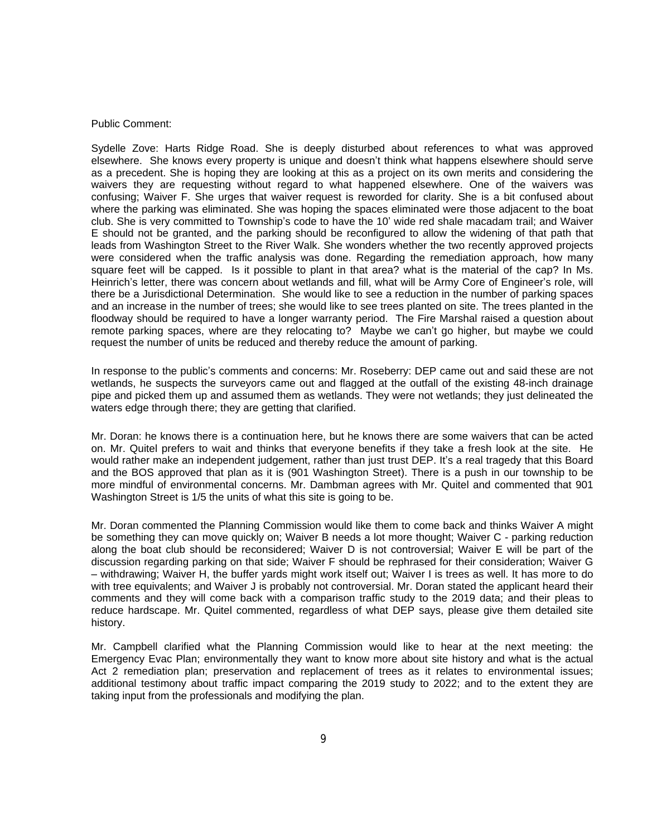#### Public Comment:

Sydelle Zove: Harts Ridge Road. She is deeply disturbed about references to what was approved elsewhere. She knows every property is unique and doesn't think what happens elsewhere should serve as a precedent. She is hoping they are looking at this as a project on its own merits and considering the waivers they are requesting without regard to what happened elsewhere. One of the waivers was confusing; Waiver F. She urges that waiver request is reworded for clarity. She is a bit confused about where the parking was eliminated. She was hoping the spaces eliminated were those adjacent to the boat club. She is very committed to Township's code to have the 10' wide red shale macadam trail; and Waiver E should not be granted, and the parking should be reconfigured to allow the widening of that path that leads from Washington Street to the River Walk. She wonders whether the two recently approved projects were considered when the traffic analysis was done. Regarding the remediation approach, how many square feet will be capped. Is it possible to plant in that area? what is the material of the cap? In Ms. Heinrich's letter, there was concern about wetlands and fill, what will be Army Core of Engineer's role, will there be a Jurisdictional Determination. She would like to see a reduction in the number of parking spaces and an increase in the number of trees; she would like to see trees planted on site. The trees planted in the floodway should be required to have a longer warranty period. The Fire Marshal raised a question about remote parking spaces, where are they relocating to? Maybe we can't go higher, but maybe we could request the number of units be reduced and thereby reduce the amount of parking.

In response to the public's comments and concerns: Mr. Roseberry: DEP came out and said these are not wetlands, he suspects the surveyors came out and flagged at the outfall of the existing 48-inch drainage pipe and picked them up and assumed them as wetlands. They were not wetlands; they just delineated the waters edge through there; they are getting that clarified.

Mr. Doran: he knows there is a continuation here, but he knows there are some waivers that can be acted on. Mr. Quitel prefers to wait and thinks that everyone benefits if they take a fresh look at the site. He would rather make an independent judgement, rather than just trust DEP. It's a real tragedy that this Board and the BOS approved that plan as it is (901 Washington Street). There is a push in our township to be more mindful of environmental concerns. Mr. Dambman agrees with Mr. Quitel and commented that 901 Washington Street is 1/5 the units of what this site is going to be.

Mr. Doran commented the Planning Commission would like them to come back and thinks Waiver A might be something they can move quickly on; Waiver B needs a lot more thought; Waiver C - parking reduction along the boat club should be reconsidered; Waiver D is not controversial; Waiver E will be part of the discussion regarding parking on that side; Waiver F should be rephrased for their consideration; Waiver G – withdrawing; Waiver H, the buffer yards might work itself out; Waiver I is trees as well. It has more to do with tree equivalents; and Waiver J is probably not controversial. Mr. Doran stated the applicant heard their comments and they will come back with a comparison traffic study to the 2019 data; and their pleas to reduce hardscape. Mr. Quitel commented, regardless of what DEP says, please give them detailed site history.

Mr. Campbell clarified what the Planning Commission would like to hear at the next meeting: the Emergency Evac Plan; environmentally they want to know more about site history and what is the actual Act 2 remediation plan; preservation and replacement of trees as it relates to environmental issues; additional testimony about traffic impact comparing the 2019 study to 2022; and to the extent they are taking input from the professionals and modifying the plan.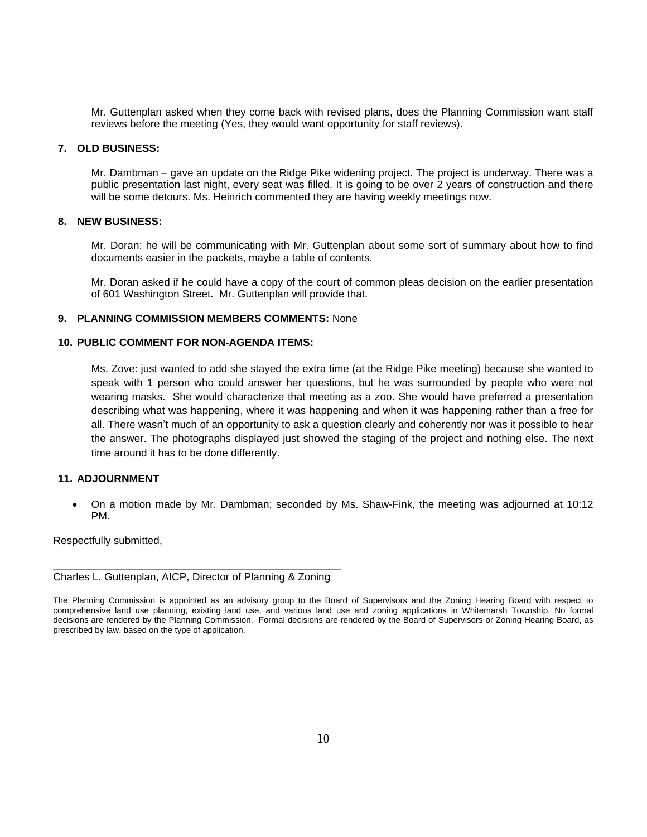Mr. Guttenplan asked when they come back with revised plans, does the Planning Commission want staff reviews before the meeting (Yes, they would want opportunity for staff reviews).

#### **7. OLD BUSINESS:**

Mr. Dambman – gave an update on the Ridge Pike widening project. The project is underway. There was a public presentation last night, every seat was filled. It is going to be over 2 years of construction and there will be some detours. Ms. Heinrich commented they are having weekly meetings now.

# **8. NEW BUSINESS:**

Mr. Doran: he will be communicating with Mr. Guttenplan about some sort of summary about how to find documents easier in the packets, maybe a table of contents.

Mr. Doran asked if he could have a copy of the court of common pleas decision on the earlier presentation of 601 Washington Street. Mr. Guttenplan will provide that.

## **9. PLANNING COMMISSION MEMBERS COMMENTS:** None

## **10. PUBLIC COMMENT FOR NON-AGENDA ITEMS:**

Ms. Zove: just wanted to add she stayed the extra time (at the Ridge Pike meeting) because she wanted to speak with 1 person who could answer her questions, but he was surrounded by people who were not wearing masks. She would characterize that meeting as a zoo. She would have preferred a presentation describing what was happening, where it was happening and when it was happening rather than a free for all. There wasn't much of an opportunity to ask a question clearly and coherently nor was it possible to hear the answer. The photographs displayed just showed the staging of the project and nothing else. The next time around it has to be done differently.

# **11. ADJOURNMENT**

 On a motion made by Mr. Dambman; seconded by Ms. Shaw-Fink, the meeting was adjourned at 10:12 PM.

Respectfully submitted,

\_\_\_\_\_\_\_\_\_\_\_\_\_\_\_\_\_\_\_\_\_\_\_\_\_\_\_\_\_\_\_\_\_\_\_\_\_\_\_\_\_\_\_\_\_\_\_\_\_ Charles L. Guttenplan, AICP, Director of Planning & Zoning

The Planning Commission is appointed as an advisory group to the Board of Supervisors and the Zoning Hearing Board with respect to comprehensive land use planning, existing land use, and various land use and zoning applications in Whitemarsh Township. No formal decisions are rendered by the Planning Commission. Formal decisions are rendered by the Board of Supervisors or Zoning Hearing Board, as prescribed by law, based on the type of application.